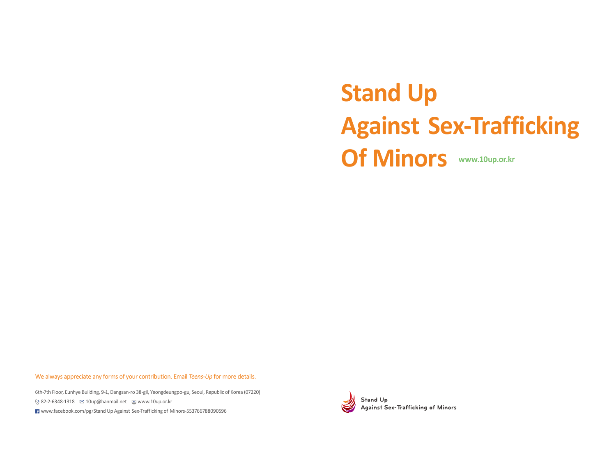# **Stand Up Against Sex-Trafficking Of Minors www.10up.or.kr**

We always appreciate any forms of your contribution. Email *Teens-Up* for more details.

6th-7th Floor, Eunhye Building, 9-1, Dangsan-ro 38-gil, Yeongdeungpo-gu, Seoul, Republic of Korea (07220) 82-2-6348-1318 10up@hanmail.net www.10up.or.kr www.facebook.com/pg/Stand Up Against Sex-Trafficking of Minors-553766788090596



Against Sex-Trafficking of Minors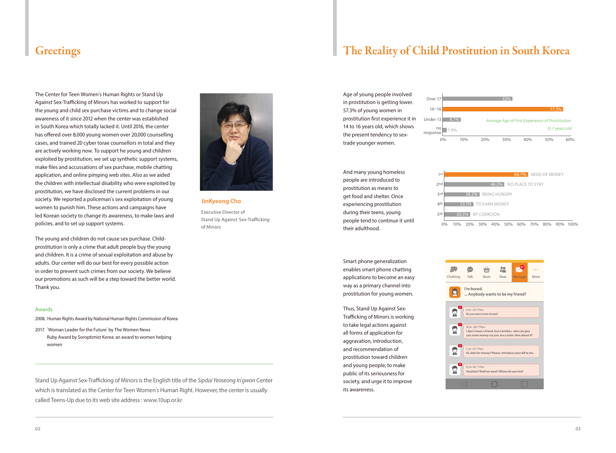The Center for Teen Women's Human Rights or Stand Up Against Sex-Trafficking of Minors has worked to support for the young and child sex purchase victims and to change social awareness of it since 2012 when the center was established in South Korea which totally lacked it. Until 2016, the center has offered over 8,000 young women over 20,000 counselling cases, and trained 20 cyber torae counsellors in total and they are actively working now. To support he young and children exploited by prostitution, we set up synthetic support systems, make files and accussations of sex purchase, mobile chatting application, and online pimping web sites. Also as we aided the children with intellectual disability who were exploited by prostitution, we have disclosed the current problems in our society. We reported a policeman's sex exploitation of young women to punish him. These actions and campaigns have led Korean society to change its awareness, to make laws and policies, and to set up support systems.

The young and children do not cause sex purchase. Childprostitution is only a crime that adult people buy the young and children. It is a crime of sexual exploitation and abuse by adults. Our center will do our best for every possible action in order to prevent such crimes from our society. We believe our promotions as such will be a step toward the better world. Thank you.

#### **Awards**

- 2008. Human Rights Award by National Human Rights Commission of Korea
- 2017. 'Woman Leader for the Future' by The Women News Ruby Award by Soroptimist Korea: an award to women helping women

Stand Up Against Sex-Trafficking of Minors is the English title of the *Sipdai Yeoseong In*'*gwon* Center which is translated as the Center for Teen Women's Human Right. However, the center is usually called Teens-Up due to its web site address : www.10up.or.kr



**JinKyeong Cho**

Executive Director of Stand Up Against Sex-Trafficking of Minors

### Greetings The Reality of Child Prostitution in South Korea

Age of young people involved in prostitution is getting lower. 57.3% of young women in prostitution first experience it in 14 to 16 years old, which shows the present tendency to sextrade younger women.



And many young homeless people are introduced to prostitution as means to get food and shelter. Once experiencing prostitution during their teens, young people tend to continue it until their adulthood.



Smart phone generalization enables smart phone chatting applications to become an easy way as a primary channel into prostitution for young women.

Thus, Stand Up Against Sex-Trafficking of Minors is working to take legal actions against all forms of application for aggravation, introduction, and recommendation of prostitution toward children and young people, to make public of its seriousness for society, and urge it to improve its awareness.

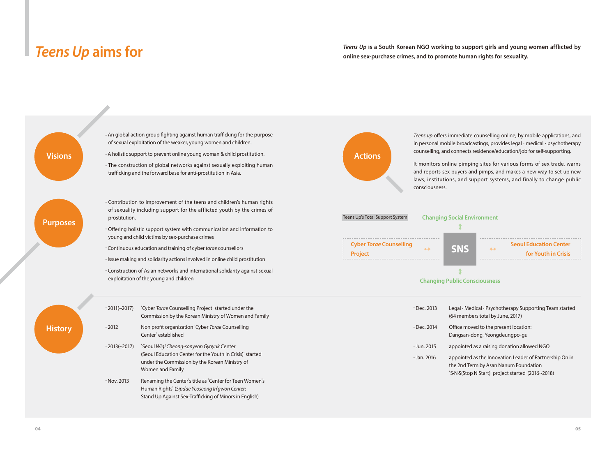*Teens Up* aims for **a** *Teens Up* is a South Korean NGO working to support girls and young women afflicted by online sex-purchase crimes, and to promote human rights for sexuality. **online sex-purchase crimes, and to promote human rights for sexuality.** 

• An global action group fighting against human trafficking for the purpose of sexual exploitation of the weaker, young women and children. **Visions** A holistic support to prevent online young woman & child prostitution. • The construction of global networks against sexually exploiting human trafficking and the forward base for anti-prostitution in Asia. *Teens up* offers immediate counselling online, by mobile applications, and in personal mobile broadcastings, provides legal · medical · psychotherapy counselling, and connects residence/education/job for self-supporting. It monitors online pimping sites for various forms of sex trade, warns and reports sex buyers and pimps, and makes a new way to set up new laws, institutions, and support systems, and finally to change public consciousness.  $\cdot$  Contribution to improvement of the teens and children's human rights of sexuality including support for the afflicted youth by the crimes of prostitution. Offering holistic support system with communication and information to young and child victims by sex-purchase crimes ● Continuous education and training of cyber *torae* counsellors ● Issue making and solidarity actions involved in online child prostitution  $\cdot$  Construction of Asian networks and international solidarity against sexual exploitation of the young and children **Purposes History**  $\cdot$  2011(~2017) 'Cyber *Torae* Counselling Project' started under the Commission by the Korean Ministry of Women and Family  $.2012$  2012 Non profit organization 'Cyber *Torae* Counselling Center' established  $\cdot$  2013(~2017) <sup>'</sup>Seoul Wigi Cheong-sonyeon Gyoyuk Center (Seoul Education Center for the Youth in Crisis)' started under the Commission by the Korean Ministry of Women and Family  $\cdot$  Nov. 2013 Renaming the Center's title as 'Center for Teen Women's Human Rights' (*Sipdae Yeoseong In*'*gwon Center*: Stand Up Against Sex-Trafficking of Minors in English)  $\cdot$  Dec. 2013 Legal · Medical · Psychotherapy Supporting Team started (64 members total by June, 2017)  $\cdot$  Dec. 2014 Office moved to the present location: Dangsan-dong, Yeongdeungpo-gu  $\cdot$  Jun. 2015 appointed as a raising donation allowed NGO  $\cdot$  Jan. 2016 appointed as the Innovation Leader of Partnership On in the 2nd Term by Asan Nanum Foundation 'S·N·S(Stop N Start)' project started (2016~2018) **Cyber** *Torae* **Counselling Project Changing Public Consciousness Changing Social Environment Seoul Education Center for Youth in Crisis** Teens Up's Total Support System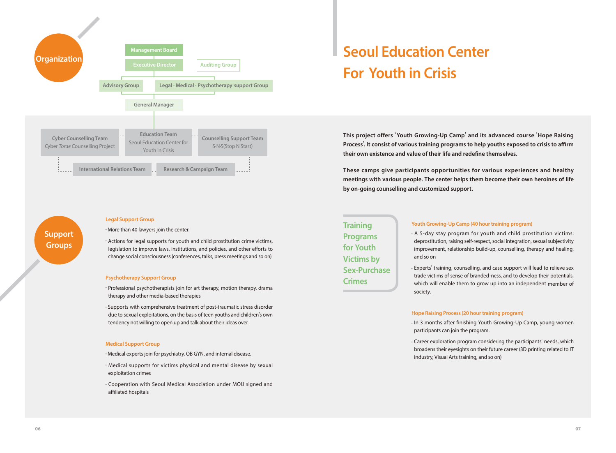

### **Support Groups**

#### **Legal Support Group**

 $\cdot$  More than 40 lawyers join the center.

 $\cdot$  Actions for legal supports for youth and child prostitution crime victims, legislation to improve laws, institutions, and policies, and other efforts to change social consciousness (conferences, talks, press meetings and so on)

#### **Psychotherapy Support Group**

• Professional psychotherapists join for art therapy, motion therapy, drama therapy and other media-based therapies

• Supports with comprehensive treatment of post-traumatic stress disorder due to sexual exploitations, on the basis of teen youths and children's own tendency not willing to open up and talk about their ideas over

#### **Medical Support Group**

 $\cdot$  Medical experts join for psychiatry, OB GYN, and internal disease.

- · Medical supports for victims physical and mental disease by sexual exploitation crimes
- · Cooperation with Seoul Medical Association under MOU signed and affiliated hospitals

# **Seoul Education Center For Youth in Crisis**

**This project offers** '**Youth Growing-Up Camp**' **and its advanced course** '**Hope Raising Process**'**. It consist of various training programs to help youths exposed to crisis to affirm their own existence and value of their life and redefine themselves.** 

**These camps give participants opportunities for various experiences and healthy meetings with various people. The center helps them become their own heroines of life by on-going counselling and customized support.** 

**Training Programs for Youth Victims by Sex-Purchase Crimes** 

#### **Youth Growing-Up Camp (40 hour training program)**

 $\cdot$  A 5-day stay program for youth and child prostitution victims: deprostitution, raising self-respect, social integration, sexual subjectivity improvement, relationship build-up, counselling, therapy and healing, and so on

• Experts' training, counselling, and case support will lead to relieve sex trade victims of sense of branded-ness, and to develop their potentials, which will enable them to grow up into an independent member of society.

#### **Hope Raising Process (20 hour training program)**

 $\cdot$  In 3 months after finishing Youth Growing-Up Camp, young women participants can join the program.

● Career exploration program considering the participants' needs, which broadens their eyesights on their future career (3D printing related to IT industry, Visual Arts training, and so on)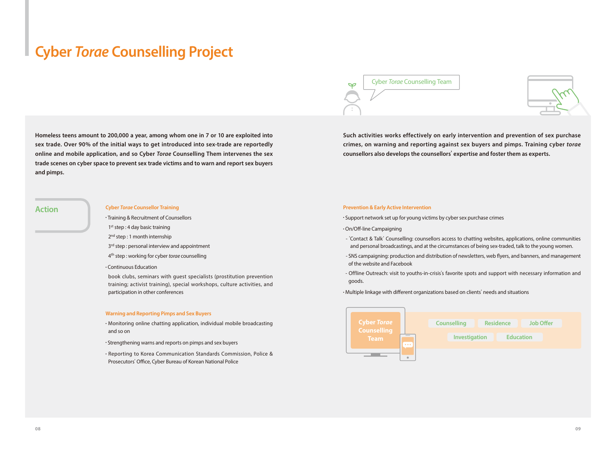## **Cyber** *Torae* **Counselling Project**

**Homeless teens amount to 200,000 a year, among whom one in 7 or 10 are exploited into sex trade. Over 90% of the initial ways to get introduced into sex-trade are reportedly online and mobile application, and so Cyber** *Torae* **Counselling Them intervenes the sex trade scenes on cyber space to prevent sex trade victims and to warn and report sex buyers and pimps.**

Cyber *Torae* Counselling Team



**Such activities works effectively on early intervention and prevention of sex purchase crimes, on warning and reporting against sex buyers and pimps. Training cyber** *torae* **counsellors also develops the counsellors**' **expertise and foster them as experts.** 

#### **Cyber** *Torae* **Counsellor Training**

● Training & Recruitment of Counsellors

- 1<sup>st</sup> step : 4 day basic training
- 2<sup>nd</sup> step : 1 month internship
- 3<sup>rd</sup> step : personal interview and appointment
- 4th step : working for cyber *torae* counselling

#### · Continuous Education

book clubs, seminars with guest specialists (prostitution prevention training; activist training), special workshops, culture activities, and participation in other conferences

#### **Warning and Reporting Pimps and Sex Buyers**

· Monitoring online chatting application, individual mobile broadcasting and so on

- Strengthening warns and reports on pimps and sex buyers
- Reporting to Korea Communication Standards Commission, Police & Prosecutors' Office, Cyber Bureau of Korean National Police

### **Action Prevention & Early Active Intervention Prevention & Early Active Intervention**

· Support network set up for young victims by cyber sex purchase crimes

#### ● On/Off-line Campaigning

- 'Contact & Talk' Counselling: counsellors access to chatting websites, applications, online communities and personal broadcastings, and at the circumstances of being sex-traded, talk to the young women.
- SNS campaigning: production and distribution of newsletters, web flyers, and banners, and management of the website and Facebook
- Offline Outreach: visit to youths-in-crisis's favorite spots and support with necessary information and goods.

• Multiple linkage with different organizations based on clients' needs and situations